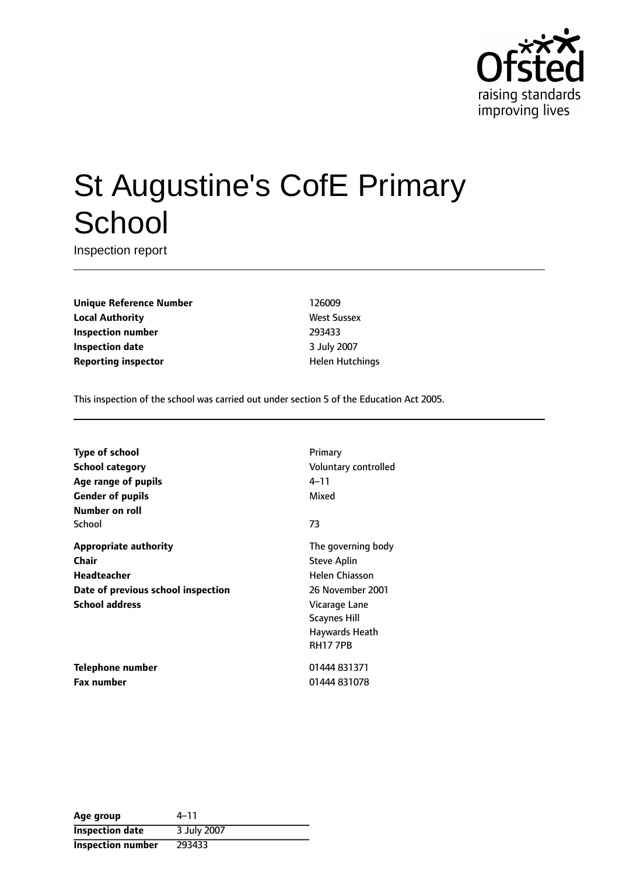

# St Augustine's CofE Primary **School**

Inspection report

**Unique Reference Number** 126009 **Local Authority West Sussex Inspection number** 293433 **Inspection date** 3 July 2007 **Reporting inspector and a structure in the Hutchings Helen Hutchings** 

This inspection of the school was carried out under section 5 of the Education Act 2005.

**Type of school** Primary **School category CONSIDER SCHOOL CATEGORY** Voluntary controlled **Age** range of pupils **Age** *Pupils* 4-11 **Gender of pupils** Mixed **Number on roll** School **23 Appropriate authority** The governing body **Chair** Steve Aplin **Headteacher Helen Chiasson Date of previous school inspection** 26 November 2001 **School address** Vicarage Lane

**Telephone number** 01444 831371 **Fax number** 01444 831078

Scaynes Hill Haywards Heath RH17 7PB

| Age group              | 4–11        |
|------------------------|-------------|
| <b>Inspection date</b> | 3 July 2007 |
| Inspection number      | 293433      |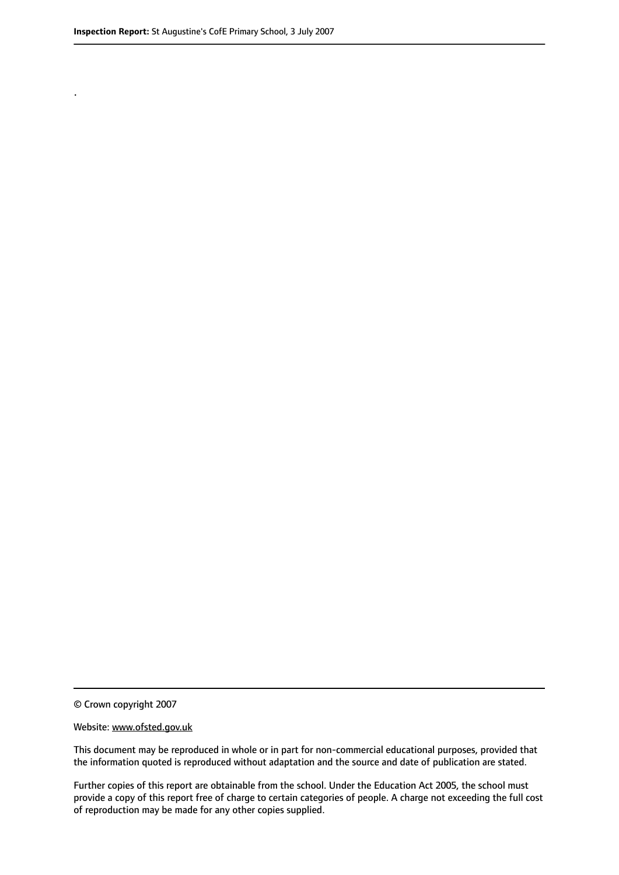.

© Crown copyright 2007

#### Website: www.ofsted.gov.uk

This document may be reproduced in whole or in part for non-commercial educational purposes, provided that the information quoted is reproduced without adaptation and the source and date of publication are stated.

Further copies of this report are obtainable from the school. Under the Education Act 2005, the school must provide a copy of this report free of charge to certain categories of people. A charge not exceeding the full cost of reproduction may be made for any other copies supplied.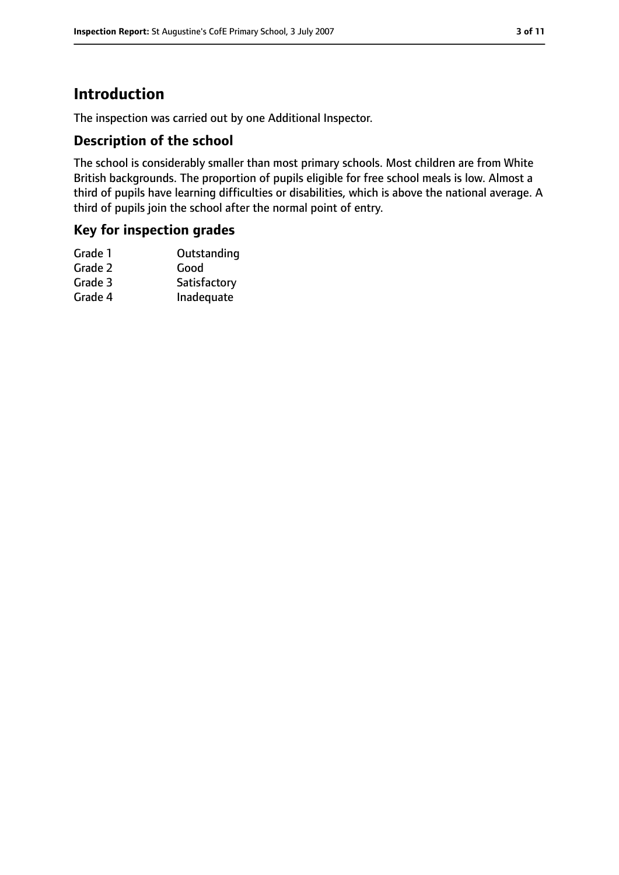### **Introduction**

The inspection was carried out by one Additional Inspector.

#### **Description of the school**

The school is considerably smaller than most primary schools. Most children are from White British backgrounds. The proportion of pupils eligible for free school meals is low. Almost a third of pupils have learning difficulties or disabilities, which is above the national average. A third of pupils join the school after the normal point of entry.

#### **Key for inspection grades**

| Good         |
|--------------|
| Satisfactory |
| Inadequate   |
|              |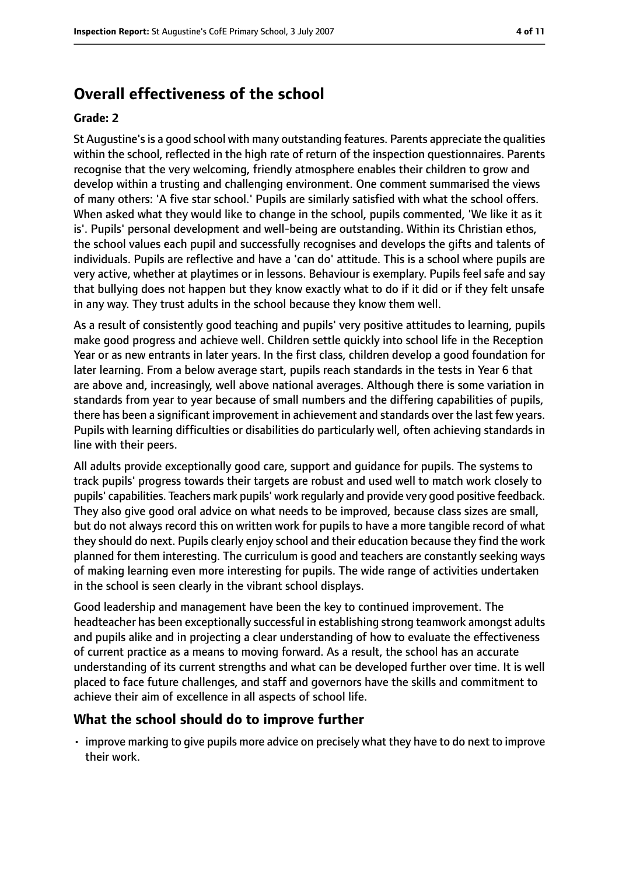### **Overall effectiveness of the school**

#### **Grade: 2**

St Augustine'sis a good school with many outstanding features. Parents appreciate the qualities within the school, reflected in the high rate of return of the inspection questionnaires. Parents recognise that the very welcoming, friendly atmosphere enables their children to grow and develop within a trusting and challenging environment. One comment summarised the views of many others: 'A five star school.' Pupils are similarly satisfied with what the school offers. When asked what they would like to change in the school, pupils commented, 'We like it as it is'. Pupils' personal development and well-being are outstanding. Within its Christian ethos, the school values each pupil and successfully recognises and develops the gifts and talents of individuals. Pupils are reflective and have a 'can do' attitude. This is a school where pupils are very active, whether at playtimes or in lessons. Behaviour is exemplary. Pupils feel safe and say that bullying does not happen but they know exactly what to do if it did or if they felt unsafe in any way. They trust adults in the school because they know them well.

As a result of consistently good teaching and pupils' very positive attitudes to learning, pupils make good progress and achieve well. Children settle quickly into school life in the Reception Year or as new entrants in later years. In the first class, children develop a good foundation for later learning. From a below average start, pupils reach standards in the tests in Year 6 that are above and, increasingly, well above national averages. Although there is some variation in standards from year to year because of small numbers and the differing capabilities of pupils, there has been a significant improvement in achievement and standards over the last few years. Pupils with learning difficulties or disabilities do particularly well, often achieving standards in line with their peers.

All adults provide exceptionally good care, support and guidance for pupils. The systems to track pupils' progress towards their targets are robust and used well to match work closely to pupils' capabilities. Teachers mark pupils' work regularly and provide very good positive feedback. They also give good oral advice on what needs to be improved, because class sizes are small, but do not always record this on written work for pupils to have a more tangible record of what they should do next. Pupils clearly enjoy school and their education because they find the work planned for them interesting. The curriculum is good and teachers are constantly seeking ways of making learning even more interesting for pupils. The wide range of activities undertaken in the school is seen clearly in the vibrant school displays.

Good leadership and management have been the key to continued improvement. The headteacher has been exceptionally successful in establishing strong teamwork amongst adults and pupils alike and in projecting a clear understanding of how to evaluate the effectiveness of current practice as a means to moving forward. As a result, the school has an accurate understanding of its current strengths and what can be developed further over time. It is well placed to face future challenges, and staff and governors have the skills and commitment to achieve their aim of excellence in all aspects of school life.

#### **What the school should do to improve further**

• improve marking to give pupils more advice on precisely what they have to do next to improve their work.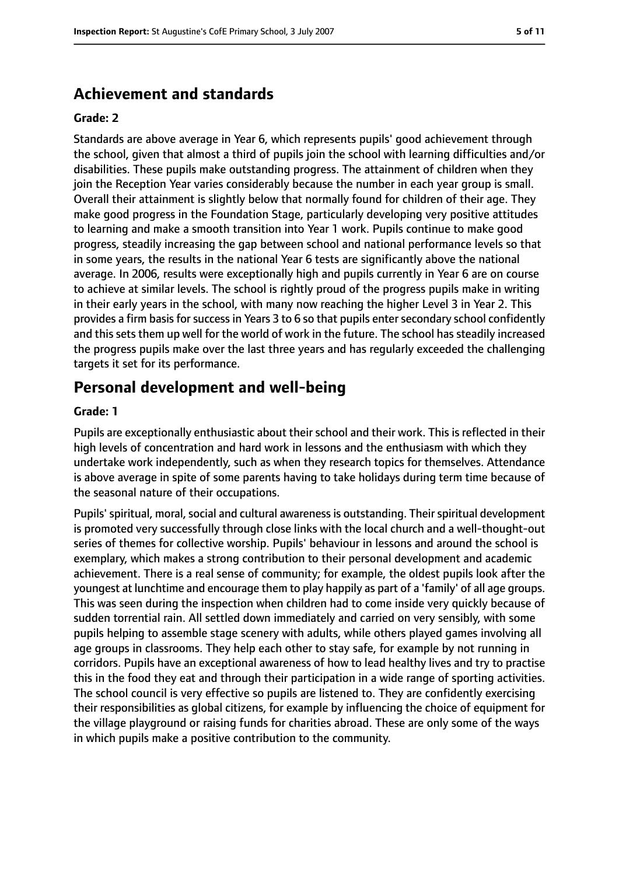### **Achievement and standards**

#### **Grade: 2**

Standards are above average in Year 6, which represents pupils' good achievement through the school, given that almost a third of pupils join the school with learning difficulties and/or disabilities. These pupils make outstanding progress. The attainment of children when they join the Reception Year varies considerably because the number in each year group is small. Overall their attainment is slightly below that normally found for children of their age. They make good progress in the Foundation Stage, particularly developing very positive attitudes to learning and make a smooth transition into Year 1 work. Pupils continue to make good progress, steadily increasing the gap between school and national performance levels so that in some years, the results in the national Year 6 tests are significantly above the national average. In 2006, results were exceptionally high and pupils currently in Year 6 are on course to achieve at similar levels. The school is rightly proud of the progress pupils make in writing in their early years in the school, with many now reaching the higher Level 3 in Year 2. This provides a firm basis for success in Years 3 to 6 so that pupils enter secondary school confidently and this sets them up well for the world of work in the future. The school has steadily increased the progress pupils make over the last three years and has regularly exceeded the challenging targets it set for its performance.

### **Personal development and well-being**

#### **Grade: 1**

Pupils are exceptionally enthusiastic about their school and their work. This is reflected in their high levels of concentration and hard work in lessons and the enthusiasm with which they undertake work independently, such as when they research topics for themselves. Attendance is above average in spite of some parents having to take holidays during term time because of the seasonal nature of their occupations.

Pupils' spiritual, moral, social and cultural awareness is outstanding. Their spiritual development is promoted very successfully through close links with the local church and a well-thought-out series of themes for collective worship. Pupils' behaviour in lessons and around the school is exemplary, which makes a strong contribution to their personal development and academic achievement. There is a real sense of community; for example, the oldest pupils look after the youngest at lunchtime and encourage them to play happily as part of a 'family' of all age groups. This was seen during the inspection when children had to come inside very quickly because of sudden torrential rain. All settled down immediately and carried on very sensibly, with some pupils helping to assemble stage scenery with adults, while others played games involving all age groups in classrooms. They help each other to stay safe, for example by not running in corridors. Pupils have an exceptional awareness of how to lead healthy lives and try to practise this in the food they eat and through their participation in a wide range of sporting activities. The school council is very effective so pupils are listened to. They are confidently exercising their responsibilities as global citizens, for example by influencing the choice of equipment for the village playground or raising funds for charities abroad. These are only some of the ways in which pupils make a positive contribution to the community.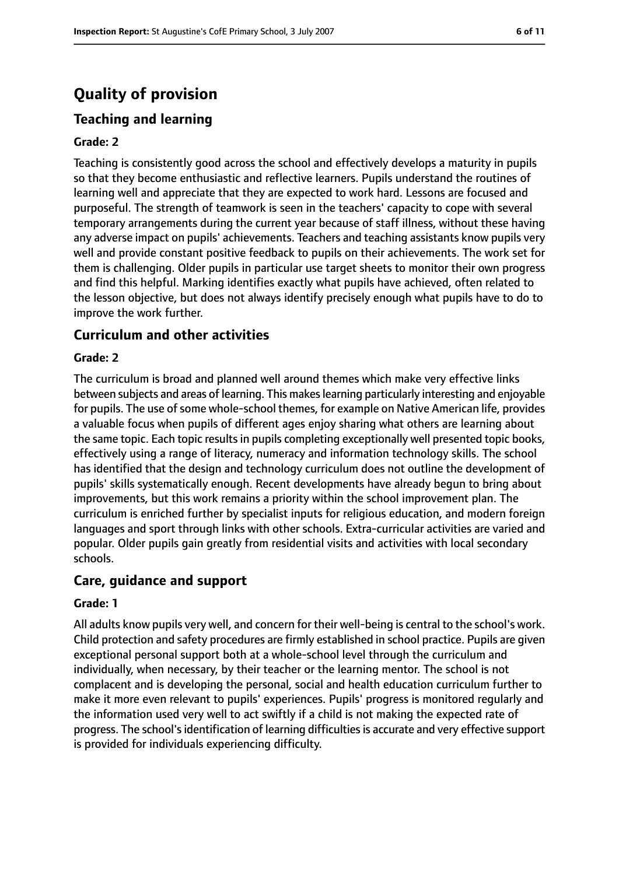### **Quality of provision**

### **Teaching and learning**

#### **Grade: 2**

Teaching is consistently good across the school and effectively develops a maturity in pupils so that they become enthusiastic and reflective learners. Pupils understand the routines of learning well and appreciate that they are expected to work hard. Lessons are focused and purposeful. The strength of teamwork is seen in the teachers' capacity to cope with several temporary arrangements during the current year because of staff illness, without these having any adverse impact on pupils' achievements. Teachers and teaching assistants know pupils very well and provide constant positive feedback to pupils on their achievements. The work set for them is challenging. Older pupils in particular use target sheets to monitor their own progress and find this helpful. Marking identifies exactly what pupils have achieved, often related to the lesson objective, but does not always identify precisely enough what pupils have to do to improve the work further.

#### **Curriculum and other activities**

#### **Grade: 2**

The curriculum is broad and planned well around themes which make very effective links between subjects and areas of learning. This makeslearning particularly interesting and enjoyable for pupils. The use of some whole-school themes, for example on Native American life, provides a valuable focus when pupils of different ages enjoy sharing what others are learning about the same topic. Each topic results in pupils completing exceptionally well presented topic books, effectively using a range of literacy, numeracy and information technology skills. The school has identified that the design and technology curriculum does not outline the development of pupils' skills systematically enough. Recent developments have already begun to bring about improvements, but this work remains a priority within the school improvement plan. The curriculum is enriched further by specialist inputs for religious education, and modern foreign languages and sport through links with other schools. Extra-curricular activities are varied and popular. Older pupils gain greatly from residential visits and activities with local secondary schools.

#### **Care, guidance and support**

#### **Grade: 1**

All adults know pupils very well, and concern for their well-being is central to the school's work. Child protection and safety procedures are firmly established in school practice. Pupils are given exceptional personal support both at a whole-school level through the curriculum and individually, when necessary, by their teacher or the learning mentor. The school is not complacent and is developing the personal, social and health education curriculum further to make it more even relevant to pupils' experiences. Pupils' progress is monitored regularly and the information used very well to act swiftly if a child is not making the expected rate of progress. The school'sidentification of learning difficultiesis accurate and very effective support is provided for individuals experiencing difficulty.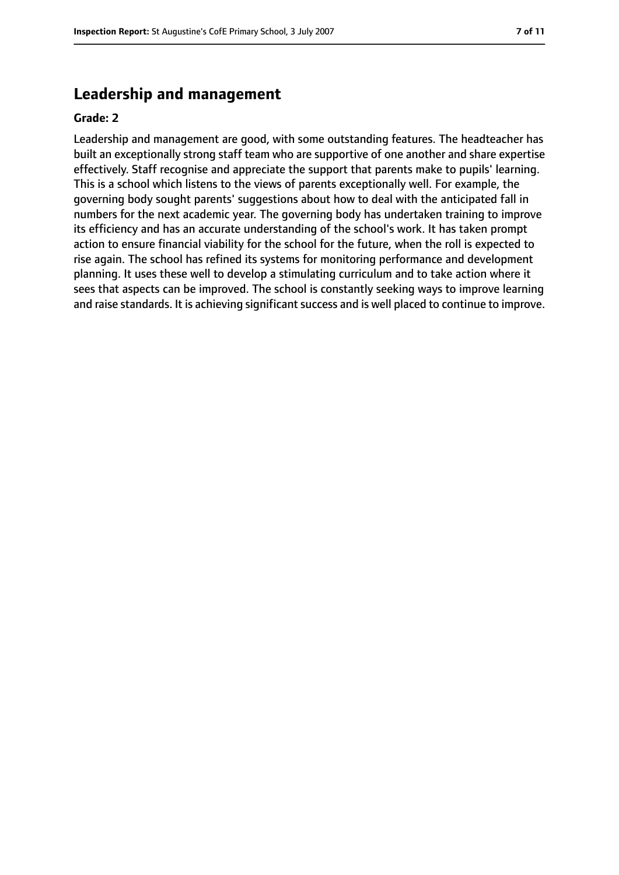### **Leadership and management**

#### **Grade: 2**

Leadership and management are good, with some outstanding features. The headteacher has built an exceptionally strong staff team who are supportive of one another and share expertise effectively. Staff recognise and appreciate the support that parents make to pupils' learning. This is a school which listens to the views of parents exceptionally well. For example, the governing body sought parents' suggestions about how to deal with the anticipated fall in numbers for the next academic year. The governing body has undertaken training to improve its efficiency and has an accurate understanding of the school's work. It has taken prompt action to ensure financial viability for the school for the future, when the roll is expected to rise again. The school has refined its systems for monitoring performance and development planning. It uses these well to develop a stimulating curriculum and to take action where it sees that aspects can be improved. The school is constantly seeking ways to improve learning and raise standards. It is achieving significant success and is well placed to continue to improve.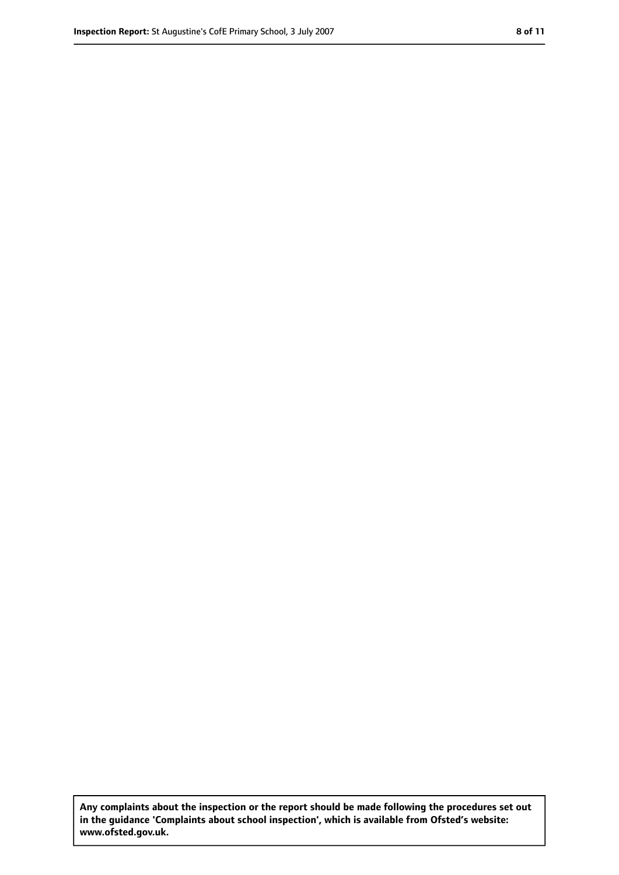**Any complaints about the inspection or the report should be made following the procedures set out in the guidance 'Complaints about school inspection', which is available from Ofsted's website: www.ofsted.gov.uk.**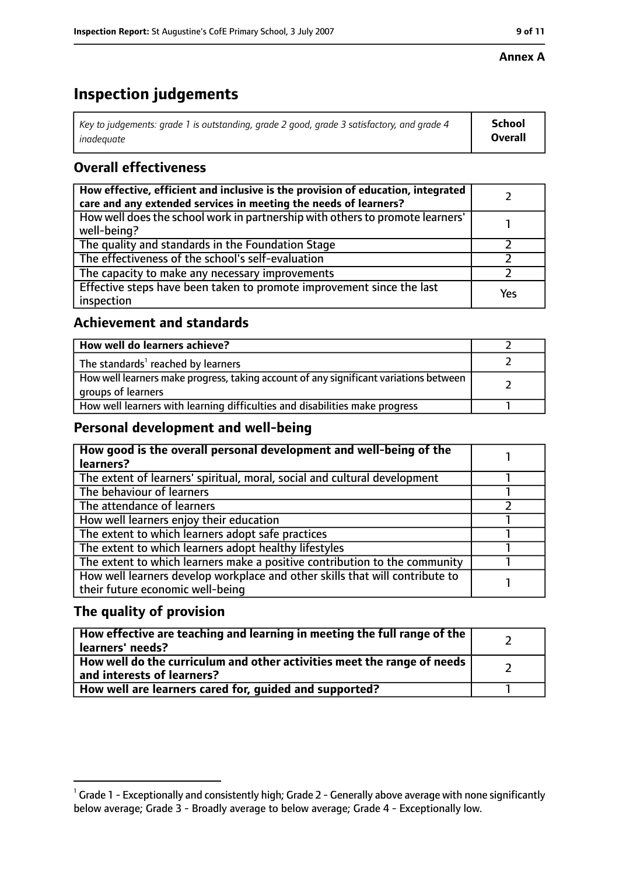#### **Annex A**

### **Inspection judgements**

| Key to judgements: grade 1 is outstanding, grade 2 good, grade 3 satisfactory, and grade 4 $\,$ | <b>School</b>  |
|-------------------------------------------------------------------------------------------------|----------------|
| inadequate                                                                                      | <b>Overall</b> |

### **Overall effectiveness**

| How effective, efficient and inclusive is the provision of education, integrated<br>care and any extended services in meeting the needs of learners? |     |
|------------------------------------------------------------------------------------------------------------------------------------------------------|-----|
| How well does the school work in partnership with others to promote learners'<br>well-being?                                                         |     |
| The quality and standards in the Foundation Stage                                                                                                    |     |
| The effectiveness of the school's self-evaluation                                                                                                    |     |
| The capacity to make any necessary improvements                                                                                                      |     |
| Effective steps have been taken to promote improvement since the last<br>inspection                                                                  | Yes |

#### **Achievement and standards**

| How well do learners achieve?                                                                               |  |
|-------------------------------------------------------------------------------------------------------------|--|
| The standards <sup>1</sup> reached by learners                                                              |  |
| How well learners make progress, taking account of any significant variations between<br>groups of learners |  |
| How well learners with learning difficulties and disabilities make progress                                 |  |

### **Personal development and well-being**

| How good is the overall personal development and well-being of the<br>learners? |  |
|---------------------------------------------------------------------------------|--|
|                                                                                 |  |
| The extent of learners' spiritual, moral, social and cultural development       |  |
| The behaviour of learners                                                       |  |
| The attendance of learners                                                      |  |
| How well learners enjoy their education                                         |  |
| The extent to which learners adopt safe practices                               |  |
| The extent to which learners adopt healthy lifestyles                           |  |
| The extent to which learners make a positive contribution to the community      |  |
| How well learners develop workplace and other skills that will contribute to    |  |
| their future economic well-being                                                |  |

### **The quality of provision**

| How effective are teaching and learning in meeting the full range of the<br>learners' needs?          |  |
|-------------------------------------------------------------------------------------------------------|--|
| How well do the curriculum and other activities meet the range of needs<br>and interests of learners? |  |
| How well are learners cared for, quided and supported?                                                |  |

 $^1$  Grade 1 - Exceptionally and consistently high; Grade 2 - Generally above average with none significantly below average; Grade 3 - Broadly average to below average; Grade 4 - Exceptionally low.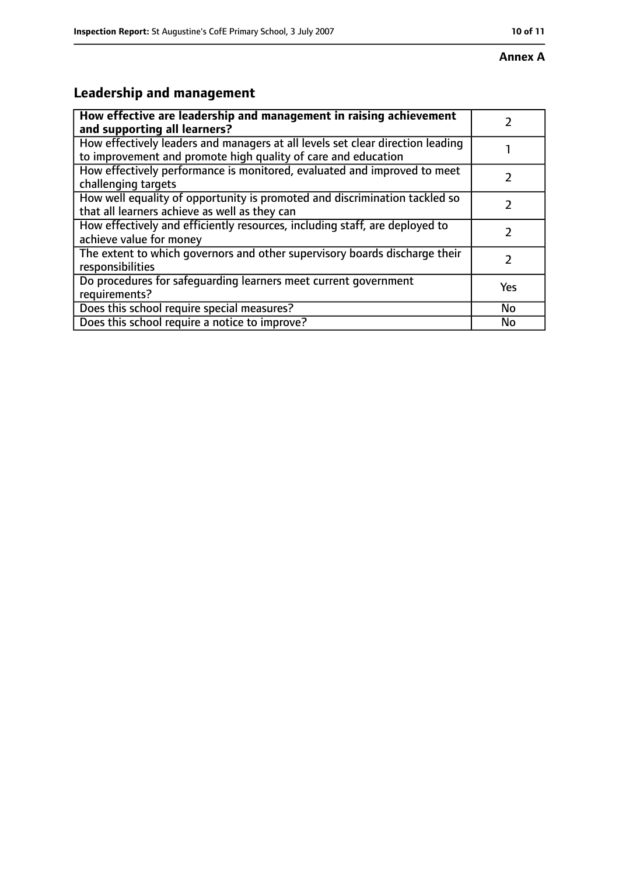## **Leadership and management**

| How effective are leadership and management in raising achievement<br>and supporting all learners?                                              |           |
|-------------------------------------------------------------------------------------------------------------------------------------------------|-----------|
| How effectively leaders and managers at all levels set clear direction leading<br>to improvement and promote high quality of care and education |           |
| How effectively performance is monitored, evaluated and improved to meet<br>challenging targets                                                 |           |
| How well equality of opportunity is promoted and discrimination tackled so<br>that all learners achieve as well as they can                     |           |
| How effectively and efficiently resources, including staff, are deployed to<br>achieve value for money                                          |           |
| The extent to which governors and other supervisory boards discharge their<br>responsibilities                                                  | 7         |
| Do procedures for safequarding learners meet current government<br>requirements?                                                                | Yes       |
| Does this school require special measures?                                                                                                      | <b>No</b> |
| Does this school require a notice to improve?                                                                                                   | No        |